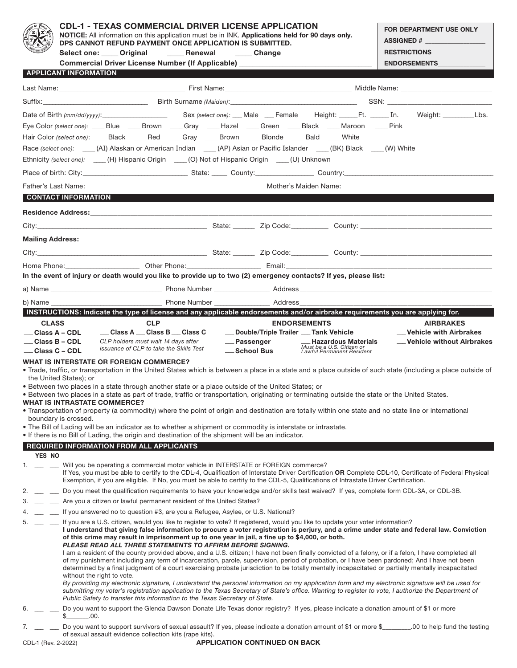|                                                                                                                                                                                                                                                                                                                                                                                                                                                                                                                                                                                                                                                                                                 | <b>CDL-1 - TEXAS COMMERCIAL DRIVER LICENSE APPLICATION</b><br>NOTICE: All information on this application must be in INK. Applications held for 90 days only.<br>DPS CANNOT REFUND PAYMENT ONCE APPLICATION IS SUBMITTED.                                                                                                                                                            |                                                                             |                                                                                                                                                                                                                                                                                                 |                                                        | FOR DEPARTMENT USE ONLY<br>ASSIGNED #                                                                                                                                                                                                                                                                                                                                                                                                                                                                                                                                                                                                                                                                                                                                                                                                                                                                              |
|-------------------------------------------------------------------------------------------------------------------------------------------------------------------------------------------------------------------------------------------------------------------------------------------------------------------------------------------------------------------------------------------------------------------------------------------------------------------------------------------------------------------------------------------------------------------------------------------------------------------------------------------------------------------------------------------------|--------------------------------------------------------------------------------------------------------------------------------------------------------------------------------------------------------------------------------------------------------------------------------------------------------------------------------------------------------------------------------------|-----------------------------------------------------------------------------|-------------------------------------------------------------------------------------------------------------------------------------------------------------------------------------------------------------------------------------------------------------------------------------------------|--------------------------------------------------------|--------------------------------------------------------------------------------------------------------------------------------------------------------------------------------------------------------------------------------------------------------------------------------------------------------------------------------------------------------------------------------------------------------------------------------------------------------------------------------------------------------------------------------------------------------------------------------------------------------------------------------------------------------------------------------------------------------------------------------------------------------------------------------------------------------------------------------------------------------------------------------------------------------------------|
|                                                                                                                                                                                                                                                                                                                                                                                                                                                                                                                                                                                                                                                                                                 |                                                                                                                                                                                                                                                                                                                                                                                      | Select one: Original Renewal Change                                         |                                                                                                                                                                                                                                                                                                 |                                                        | <b>RESTRICTIONS</b>                                                                                                                                                                                                                                                                                                                                                                                                                                                                                                                                                                                                                                                                                                                                                                                                                                                                                                |
|                                                                                                                                                                                                                                                                                                                                                                                                                                                                                                                                                                                                                                                                                                 |                                                                                                                                                                                                                                                                                                                                                                                      |                                                                             | Commercial Driver License Number (If Applicable) _______________________________                                                                                                                                                                                                                |                                                        | <b>ENDORSEMENTS</b>                                                                                                                                                                                                                                                                                                                                                                                                                                                                                                                                                                                                                                                                                                                                                                                                                                                                                                |
|                                                                                                                                                                                                                                                                                                                                                                                                                                                                                                                                                                                                                                                                                                 | <b>APPLICANT INFORMATION</b>                                                                                                                                                                                                                                                                                                                                                         |                                                                             |                                                                                                                                                                                                                                                                                                 |                                                        |                                                                                                                                                                                                                                                                                                                                                                                                                                                                                                                                                                                                                                                                                                                                                                                                                                                                                                                    |
|                                                                                                                                                                                                                                                                                                                                                                                                                                                                                                                                                                                                                                                                                                 |                                                                                                                                                                                                                                                                                                                                                                                      |                                                                             |                                                                                                                                                                                                                                                                                                 |                                                        |                                                                                                                                                                                                                                                                                                                                                                                                                                                                                                                                                                                                                                                                                                                                                                                                                                                                                                                    |
|                                                                                                                                                                                                                                                                                                                                                                                                                                                                                                                                                                                                                                                                                                 |                                                                                                                                                                                                                                                                                                                                                                                      |                                                                             |                                                                                                                                                                                                                                                                                                 |                                                        |                                                                                                                                                                                                                                                                                                                                                                                                                                                                                                                                                                                                                                                                                                                                                                                                                                                                                                                    |
|                                                                                                                                                                                                                                                                                                                                                                                                                                                                                                                                                                                                                                                                                                 |                                                                                                                                                                                                                                                                                                                                                                                      |                                                                             |                                                                                                                                                                                                                                                                                                 |                                                        |                                                                                                                                                                                                                                                                                                                                                                                                                                                                                                                                                                                                                                                                                                                                                                                                                                                                                                                    |
|                                                                                                                                                                                                                                                                                                                                                                                                                                                                                                                                                                                                                                                                                                 |                                                                                                                                                                                                                                                                                                                                                                                      |                                                                             | Eye Color (select one): ____ Blue _____ Brown ____ Gray ____ Hazel ____ Green ____ Black ____ Maroon ____ Pink                                                                                                                                                                                  |                                                        |                                                                                                                                                                                                                                                                                                                                                                                                                                                                                                                                                                                                                                                                                                                                                                                                                                                                                                                    |
|                                                                                                                                                                                                                                                                                                                                                                                                                                                                                                                                                                                                                                                                                                 |                                                                                                                                                                                                                                                                                                                                                                                      |                                                                             | Hair Color (select one): ____Black ____Red ____Gray ____Brown ____Blonde ____Bald ____White                                                                                                                                                                                                     |                                                        |                                                                                                                                                                                                                                                                                                                                                                                                                                                                                                                                                                                                                                                                                                                                                                                                                                                                                                                    |
|                                                                                                                                                                                                                                                                                                                                                                                                                                                                                                                                                                                                                                                                                                 |                                                                                                                                                                                                                                                                                                                                                                                      |                                                                             | Race (select one): ____(AI) Alaskan or American Indian ____(AP) Asian or Pacific Islander ____(BK) Black ___(W) White                                                                                                                                                                           |                                                        |                                                                                                                                                                                                                                                                                                                                                                                                                                                                                                                                                                                                                                                                                                                                                                                                                                                                                                                    |
|                                                                                                                                                                                                                                                                                                                                                                                                                                                                                                                                                                                                                                                                                                 |                                                                                                                                                                                                                                                                                                                                                                                      |                                                                             | Ethnicity (select one): ____(H) Hispanic Origin ___(O) Not of Hispanic Origin ___(U) Unknown                                                                                                                                                                                                    |                                                        |                                                                                                                                                                                                                                                                                                                                                                                                                                                                                                                                                                                                                                                                                                                                                                                                                                                                                                                    |
|                                                                                                                                                                                                                                                                                                                                                                                                                                                                                                                                                                                                                                                                                                 |                                                                                                                                                                                                                                                                                                                                                                                      |                                                                             |                                                                                                                                                                                                                                                                                                 |                                                        |                                                                                                                                                                                                                                                                                                                                                                                                                                                                                                                                                                                                                                                                                                                                                                                                                                                                                                                    |
|                                                                                                                                                                                                                                                                                                                                                                                                                                                                                                                                                                                                                                                                                                 |                                                                                                                                                                                                                                                                                                                                                                                      |                                                                             |                                                                                                                                                                                                                                                                                                 |                                                        |                                                                                                                                                                                                                                                                                                                                                                                                                                                                                                                                                                                                                                                                                                                                                                                                                                                                                                                    |
|                                                                                                                                                                                                                                                                                                                                                                                                                                                                                                                                                                                                                                                                                                 | <b>CONTACT INFORMATION EXISTENT INFORMATION</b>                                                                                                                                                                                                                                                                                                                                      |                                                                             |                                                                                                                                                                                                                                                                                                 |                                                        |                                                                                                                                                                                                                                                                                                                                                                                                                                                                                                                                                                                                                                                                                                                                                                                                                                                                                                                    |
|                                                                                                                                                                                                                                                                                                                                                                                                                                                                                                                                                                                                                                                                                                 |                                                                                                                                                                                                                                                                                                                                                                                      |                                                                             |                                                                                                                                                                                                                                                                                                 |                                                        |                                                                                                                                                                                                                                                                                                                                                                                                                                                                                                                                                                                                                                                                                                                                                                                                                                                                                                                    |
|                                                                                                                                                                                                                                                                                                                                                                                                                                                                                                                                                                                                                                                                                                 |                                                                                                                                                                                                                                                                                                                                                                                      |                                                                             |                                                                                                                                                                                                                                                                                                 |                                                        |                                                                                                                                                                                                                                                                                                                                                                                                                                                                                                                                                                                                                                                                                                                                                                                                                                                                                                                    |
|                                                                                                                                                                                                                                                                                                                                                                                                                                                                                                                                                                                                                                                                                                 |                                                                                                                                                                                                                                                                                                                                                                                      |                                                                             |                                                                                                                                                                                                                                                                                                 |                                                        |                                                                                                                                                                                                                                                                                                                                                                                                                                                                                                                                                                                                                                                                                                                                                                                                                                                                                                                    |
|                                                                                                                                                                                                                                                                                                                                                                                                                                                                                                                                                                                                                                                                                                 |                                                                                                                                                                                                                                                                                                                                                                                      |                                                                             |                                                                                                                                                                                                                                                                                                 |                                                        |                                                                                                                                                                                                                                                                                                                                                                                                                                                                                                                                                                                                                                                                                                                                                                                                                                                                                                                    |
|                                                                                                                                                                                                                                                                                                                                                                                                                                                                                                                                                                                                                                                                                                 |                                                                                                                                                                                                                                                                                                                                                                                      |                                                                             |                                                                                                                                                                                                                                                                                                 |                                                        |                                                                                                                                                                                                                                                                                                                                                                                                                                                                                                                                                                                                                                                                                                                                                                                                                                                                                                                    |
|                                                                                                                                                                                                                                                                                                                                                                                                                                                                                                                                                                                                                                                                                                 |                                                                                                                                                                                                                                                                                                                                                                                      |                                                                             | In the event of injury or death would you like to provide up to two (2) emergency contacts? If yes, please list:                                                                                                                                                                                |                                                        |                                                                                                                                                                                                                                                                                                                                                                                                                                                                                                                                                                                                                                                                                                                                                                                                                                                                                                                    |
|                                                                                                                                                                                                                                                                                                                                                                                                                                                                                                                                                                                                                                                                                                 |                                                                                                                                                                                                                                                                                                                                                                                      |                                                                             |                                                                                                                                                                                                                                                                                                 |                                                        |                                                                                                                                                                                                                                                                                                                                                                                                                                                                                                                                                                                                                                                                                                                                                                                                                                                                                                                    |
|                                                                                                                                                                                                                                                                                                                                                                                                                                                                                                                                                                                                                                                                                                 |                                                                                                                                                                                                                                                                                                                                                                                      |                                                                             |                                                                                                                                                                                                                                                                                                 |                                                        |                                                                                                                                                                                                                                                                                                                                                                                                                                                                                                                                                                                                                                                                                                                                                                                                                                                                                                                    |
|                                                                                                                                                                                                                                                                                                                                                                                                                                                                                                                                                                                                                                                                                                 |                                                                                                                                                                                                                                                                                                                                                                                      |                                                                             |                                                                                                                                                                                                                                                                                                 |                                                        |                                                                                                                                                                                                                                                                                                                                                                                                                                                                                                                                                                                                                                                                                                                                                                                                                                                                                                                    |
| <b>CLASS</b>                                                                                                                                                                                                                                                                                                                                                                                                                                                                                                                                                                                                                                                                                    |                                                                                                                                                                                                                                                                                                                                                                                      | <b>CLP</b>                                                                  |                                                                                                                                                                                                                                                                                                 | <b>ENDORSEMENTS</b>                                    | INSTRUCTIONS: Indicate the type of license and any applicable endorsements and/or airbrake requirements you are applying for.<br><b>AIRBRAKES</b>                                                                                                                                                                                                                                                                                                                                                                                                                                                                                                                                                                                                                                                                                                                                                                  |
| — Class A – CDL                                                                                                                                                                                                                                                                                                                                                                                                                                                                                                                                                                                                                                                                                 |                                                                                                                                                                                                                                                                                                                                                                                      | Class A  Class B  Class C                                                   | - Double/Triple Trailer - Tank Vehicle                                                                                                                                                                                                                                                          |                                                        | - Vehicle with Airbrakes                                                                                                                                                                                                                                                                                                                                                                                                                                                                                                                                                                                                                                                                                                                                                                                                                                                                                           |
| $\rule{1em}{0.15mm}$ Class B – CDL                                                                                                                                                                                                                                                                                                                                                                                                                                                                                                                                                                                                                                                              |                                                                                                                                                                                                                                                                                                                                                                                      | CLP holders must wait 14 days after                                         | - Passenger - Hazardous Materials                                                                                                                                                                                                                                                               |                                                        | - Vehicle without Airbrakes                                                                                                                                                                                                                                                                                                                                                                                                                                                                                                                                                                                                                                                                                                                                                                                                                                                                                        |
| $\equiv$ Class C – CDL                                                                                                                                                                                                                                                                                                                                                                                                                                                                                                                                                                                                                                                                          |                                                                                                                                                                                                                                                                                                                                                                                      | issuance of CLP to take the Skills Test                                     | __ School Bus                                                                                                                                                                                                                                                                                   | Must be a U.S. Citizen or<br>Lawful Permanent Resident |                                                                                                                                                                                                                                                                                                                                                                                                                                                                                                                                                                                                                                                                                                                                                                                                                                                                                                                    |
| <b>WHAT IS INTERSTATE OR FOREIGN COMMERCE?</b><br>. Trade, traffic, or transportation in the United States which is between a place in a state and a place outside of such state (including a place outside of<br>the United States); or<br>• Between two places in a state through another state or a place outside of the United States; or<br>. Between two places in a state as part of trade, traffic or transportation, originating or terminating outside the state or the United States.<br><b>WHAT IS INTRASTATE COMMERCE?</b><br>• Transportation of property (a commodity) where the point of origin and destination are totally within one state and no state line or international |                                                                                                                                                                                                                                                                                                                                                                                      |                                                                             |                                                                                                                                                                                                                                                                                                 |                                                        |                                                                                                                                                                                                                                                                                                                                                                                                                                                                                                                                                                                                                                                                                                                                                                                                                                                                                                                    |
|                                                                                                                                                                                                                                                                                                                                                                                                                                                                                                                                                                                                                                                                                                 | boundary is crossed.                                                                                                                                                                                                                                                                                                                                                                 |                                                                             | • The Bill of Lading will be an indicator as to whether a shipment or commodity is interstate or intrastate.<br>. If there is no Bill of Lading, the origin and destination of the shipment will be an indicator.                                                                               |                                                        |                                                                                                                                                                                                                                                                                                                                                                                                                                                                                                                                                                                                                                                                                                                                                                                                                                                                                                                    |
|                                                                                                                                                                                                                                                                                                                                                                                                                                                                                                                                                                                                                                                                                                 | REQUIRED INFORMATION FROM ALL APPLICANTS                                                                                                                                                                                                                                                                                                                                             |                                                                             |                                                                                                                                                                                                                                                                                                 |                                                        |                                                                                                                                                                                                                                                                                                                                                                                                                                                                                                                                                                                                                                                                                                                                                                                                                                                                                                                    |
| YES NO                                                                                                                                                                                                                                                                                                                                                                                                                                                                                                                                                                                                                                                                                          |                                                                                                                                                                                                                                                                                                                                                                                      |                                                                             |                                                                                                                                                                                                                                                                                                 |                                                        |                                                                                                                                                                                                                                                                                                                                                                                                                                                                                                                                                                                                                                                                                                                                                                                                                                                                                                                    |
| 1.                                                                                                                                                                                                                                                                                                                                                                                                                                                                                                                                                                                                                                                                                              | Will you be operating a commercial motor vehicle in INTERSTATE or FOREIGN commerce?<br>If Yes, you must be able to certify to the CDL-4, Qualification of Interstate Driver Certification OR Complete CDL-10, Certificate of Federal Physical<br>Exemption, if you are eligible. If No, you must be able to certify to the CDL-5, Qualifications of Intrastate Driver Certification. |                                                                             |                                                                                                                                                                                                                                                                                                 |                                                        |                                                                                                                                                                                                                                                                                                                                                                                                                                                                                                                                                                                                                                                                                                                                                                                                                                                                                                                    |
| 2.                                                                                                                                                                                                                                                                                                                                                                                                                                                                                                                                                                                                                                                                                              |                                                                                                                                                                                                                                                                                                                                                                                      |                                                                             | Do you meet the qualification requirements to have your knowledge and/or skills test waived? If yes, complete form CDL-3A, or CDL-3B.                                                                                                                                                           |                                                        |                                                                                                                                                                                                                                                                                                                                                                                                                                                                                                                                                                                                                                                                                                                                                                                                                                                                                                                    |
| 3.                                                                                                                                                                                                                                                                                                                                                                                                                                                                                                                                                                                                                                                                                              | Are you a citizen or lawful permanent resident of the United States?<br>If you answered no to question #3, are you a Refugee, Asylee, or U.S. National?                                                                                                                                                                                                                              |                                                                             |                                                                                                                                                                                                                                                                                                 |                                                        |                                                                                                                                                                                                                                                                                                                                                                                                                                                                                                                                                                                                                                                                                                                                                                                                                                                                                                                    |
| 4.                                                                                                                                                                                                                                                                                                                                                                                                                                                                                                                                                                                                                                                                                              |                                                                                                                                                                                                                                                                                                                                                                                      |                                                                             |                                                                                                                                                                                                                                                                                                 |                                                        |                                                                                                                                                                                                                                                                                                                                                                                                                                                                                                                                                                                                                                                                                                                                                                                                                                                                                                                    |
| $5.$ $ -$                                                                                                                                                                                                                                                                                                                                                                                                                                                                                                                                                                                                                                                                                       | without the right to vote.                                                                                                                                                                                                                                                                                                                                                           | Public Safety to transfer this information to the Texas Secretary of State. | If you are a U.S. citizen, would you like to register to vote? If registered, would you like to update your voter information?<br>of this crime may result in imprisonment up to one year in jail, a fine up to \$4,000, or both.<br>PLEASE READ ALL THREE STATEMENTS TO AFFIRM BEFORE SIGNING. |                                                        | I understand that giving false information to procure a voter registration is perjury, and a crime under state and federal law. Conviction<br>I am a resident of the county provided above, and a U.S. citizen; I have not been finally convicted of a felony, or if a felon, I have completed all<br>of my punishment including any term of incarceration, parole, supervision, period of probation, or I have been pardoned; And I have not been<br>determined by a final judgment of a court exercising probate jurisdiction to be totally mentally incapacitated or partially mentally incapacitated<br>By providing my electronic signature, I understand the personal information on my application form and my electronic signature will be used for<br>submitting my voter's registration application to the Texas Secretary of State's office. Wanting to register to vote, I authorize the Department of |
| 6.                                                                                                                                                                                                                                                                                                                                                                                                                                                                                                                                                                                                                                                                                              |                                                                                                                                                                                                                                                                                                                                                                                      |                                                                             | Do you want to support the Glenda Dawson Donate Life Texas donor registry? If yes, please indicate a donation amount of \$1 or more                                                                                                                                                             |                                                        |                                                                                                                                                                                                                                                                                                                                                                                                                                                                                                                                                                                                                                                                                                                                                                                                                                                                                                                    |
| 7.                                                                                                                                                                                                                                                                                                                                                                                                                                                                                                                                                                                                                                                                                              | \$.00.                                                                                                                                                                                                                                                                                                                                                                               | of sexual assault evidence collection kits (rape kits).                     |                                                                                                                                                                                                                                                                                                 |                                                        | Do you want to support survivors of sexual assault? If yes, please indicate a donation amount of \$1 or more \$________00 to help fund the testing                                                                                                                                                                                                                                                                                                                                                                                                                                                                                                                                                                                                                                                                                                                                                                 |